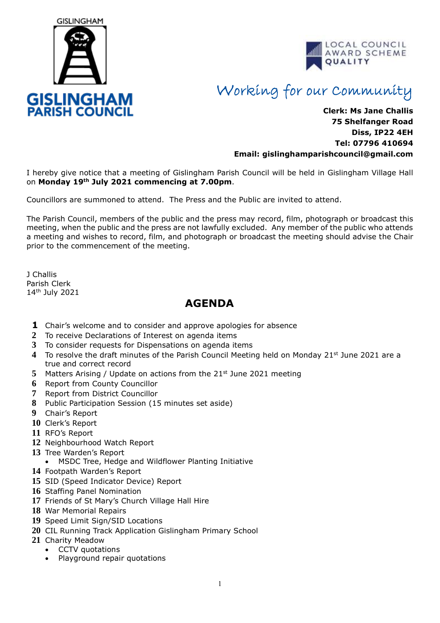



## Working for our Community

## **Clerk: Ms Jane Challis 75 Shelfanger Road Diss, IP22 4EH Tel: 07796 410694 Email: [gislinghamparishcouncil@gmail.com](mailto:gislinghamparishcouncil@gmail.com)**

I hereby give notice that a meeting of Gislingham Parish Council will be held in Gislingham Village Hall on **Monday 19th July 2021 commencing at 7.00pm**.

Councillors are summoned to attend. The Press and the Public are invited to attend.

The Parish Council, members of the public and the press may record, film, photograph or broadcast this meeting, when the public and the press are not lawfully excluded. Any member of the public who attends a meeting and wishes to record, film, and photograph or broadcast the meeting should advise the Chair prior to the commencement of the meeting.

J Challis Parish Clerk 14th July 2021

## **AGENDA**

- **1** Chair's welcome and to consider and approve apologies for absence
- **2** To receive Declarations of Interest on agenda items
- **3** To consider requests for Dispensations on agenda items
- **4** To resolve the draft minutes of the Parish Council Meeting held on Monday 21st June 2021 are a true and correct record
- **5** Matters Arising / Update on actions from the 21st June 2021 meeting
- **6** Report from County Councillor
- **7** Report from District Councillor
- **8** Public Participation Session (15 minutes set aside)
- **9** Chair's Report
- **10** Clerk's Report
- **11** RFO's Report
- **12** Neighbourhood Watch Report
- **13** Tree Warden's Report
- MSDC Tree, Hedge and Wildflower Planting Initiative
- **14** Footpath Warden's Report
- **15** SID (Speed Indicator Device) Report
- **16** Staffing Panel Nomination
- **17** Friends of St Mary's Church Village Hall Hire
- **18** War Memorial Repairs
- **19** Speed Limit Sign/SID Locations
- **20** CIL Running Track Application Gislingham Primary School
- **21** Charity Meadow
	- CCTV quotations
	- Playground repair quotations